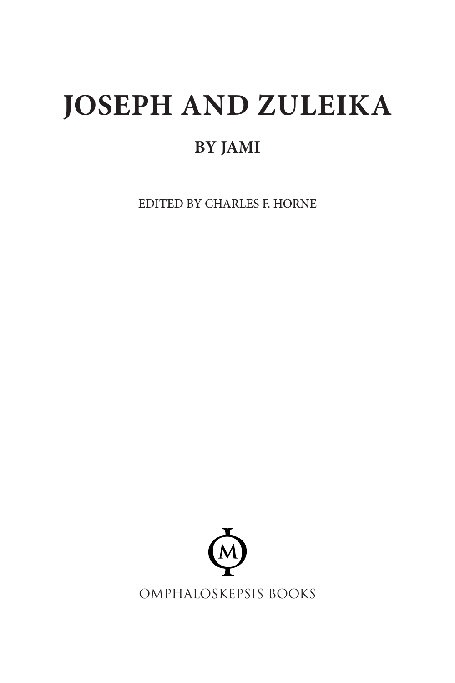# **JOSEPH AND ZULEIKA**

### **BY JAMI**

EDITED BY CHARLES F. HORNE

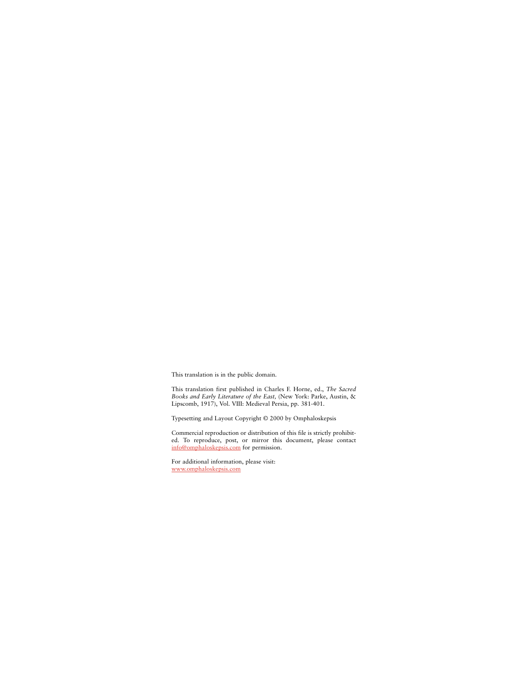This translation is in the public domain.

This translation first published in Charles F. Horne, ed., *The Sacred Books and Early Literature of the East,* (New York: Parke, Austin, & Lipscomb, 1917), Vol. VIII: Medieval Persia, pp. 381-401.

Typesetting and Layout Copyright © 2000 by Omphaloskepsis

Commercial reproduction or distribution of this file is strictly prohibited. To reproduce, post, or mirror this document, please contact [info@omphaloskepsis.com](mailto:info@omphaloskepsis.com) for permission.

For additional information, please visit: [www.omphaloskepsis.com](http://www.omphaloskepsis.com)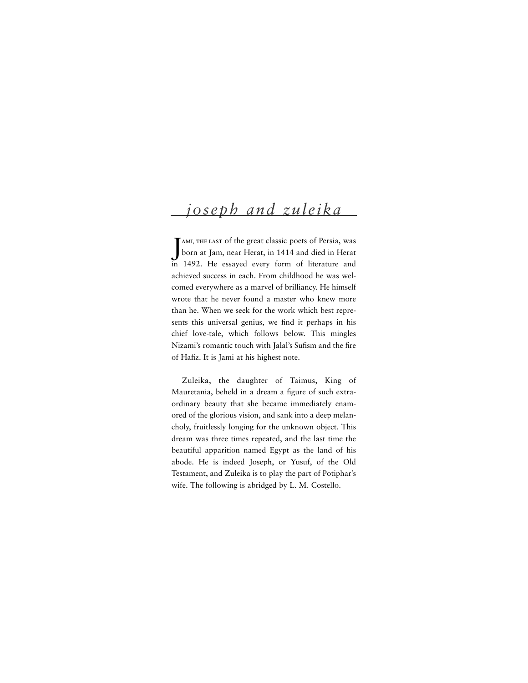## *joseph and zuleika*

J born at Jam, near Herat, in 1414 and died in Herat ami, the last of the great classic poets of Persia, was in 1492. He essayed every form of literature and achieved success in each. From childhood he was welcomed everywhere as a marvel of brilliancy. He himself wrote that he never found a master who knew more than he. When we seek for the work which best represents this universal genius, we find it perhaps in his chief love-tale, which follows below. This mingles Nizami's romantic touch with Jalal's Sufism and the fire of Hafiz. It is Jami at his highest note.

Zuleika, the daughter of Taimus, King of Mauretania, beheld in a dream a figure of such extraordinary beauty that she became immediately enamored of the glorious vision, and sank into a deep melancholy, fruitlessly longing for the unknown object. This dream was three times repeated, and the last time the beautiful apparition named Egypt as the land of his abode. He is indeed Joseph, or Yusuf, of the Old Testament, and Zuleika is to play the part of Potiphar's wife. The following is abridged by L. M. Costello.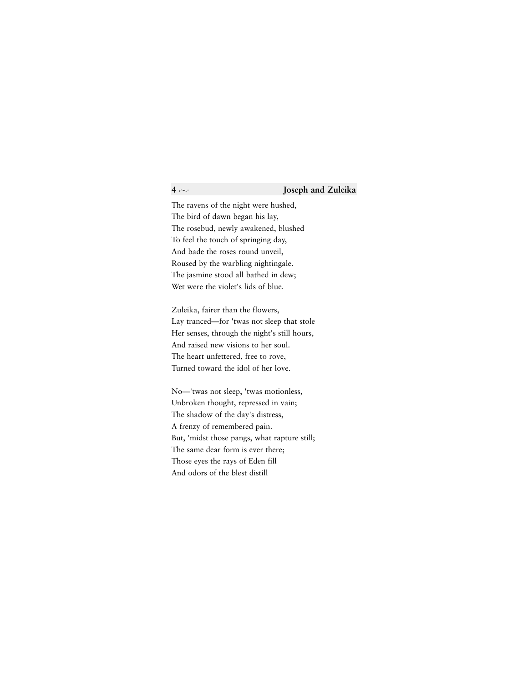The ravens of the night were hushed, The bird of dawn began his lay, The rosebud, newly awakened, blushed To feel the touch of springing day, And bade the roses round unveil, Roused by the warbling nightingale. The jasmine stood all bathed in dew; Wet were the violet's lids of blue.

Zuleika, fairer than the flowers, Lay tranced—for 'twas not sleep that stole Her senses, through the night's still hours, And raised new visions to her soul. The heart unfettered, free to rove, Turned toward the idol of her love.

No—'twas not sleep, 'twas motionless, Unbroken thought, repressed in vain; The shadow of the day's distress, A frenzy of remembered pain. But, 'midst those pangs, what rapture still; The same dear form is ever there; Those eyes the rays of Eden fill And odors of the blest distill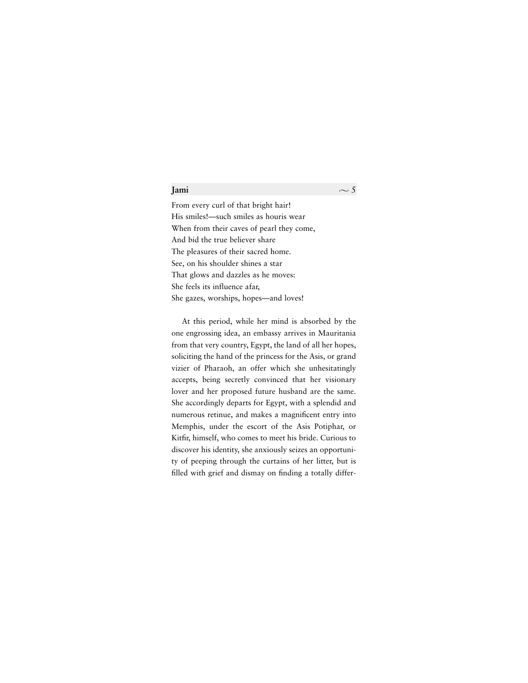### **Jami**  $\sim$  5

From every curl of that bright hair! His smiles!—such smiles as houris wear When from their caves of pearl they come, And bid the true believer share The pleasures of their sacred home. See, on his shoulder shines a star That glows and dazzles as he moves: She feels its influence afar, She gazes, worships, hopes—and loves!

At this period, while her mind is absorbed by the one engrossing idea, an embassy arrives in Mauritania from that very country, Egypt, the land of all her hopes, soliciting the hand of the princess for the Asis, or grand vizier of Pharaoh, an offer which she unhesitatingly accepts, being secretly convinced that her visionary lover and her proposed future husband are the same. She accordingly departs for Egypt, with a splendid and numerous retinue, and makes a magnificent entry into Memphis, under the escort of the Asis Potiphar, or Kitfir, himself, who comes to meet his bride. Curious to discover his identity, she anxiously seizes an opportunity of peeping through the curtains of her litter, but is filled with grief and dismay on finding a totally differ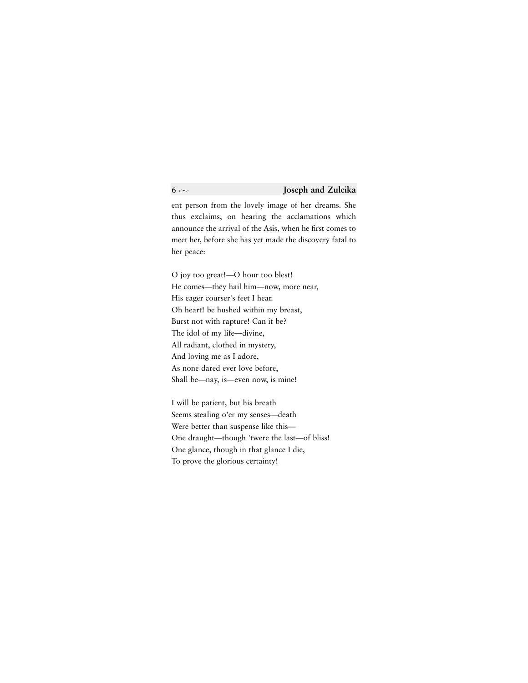ent person from the lovely image of her dreams. She thus exclaims, on hearing the acclamations which announce the arrival of the Asis, when he first comes to meet her, before she has yet made the discovery fatal to her peace:

O joy too great!—O hour too blest! He comes—they hail him—now, more near, His eager courser's feet I hear. Oh heart! be hushed within my breast, Burst not with rapture! Can it be? The idol of my life—divine, All radiant, clothed in mystery, And loving me as I adore, As none dared ever love before, Shall be—nay, is—even now, is mine!

I will be patient, but his breath Seems stealing o'er my senses—death Were better than suspense like this— One draught—though 'twere the last—of bliss! One glance, though in that glance I die, To prove the glorious certainty!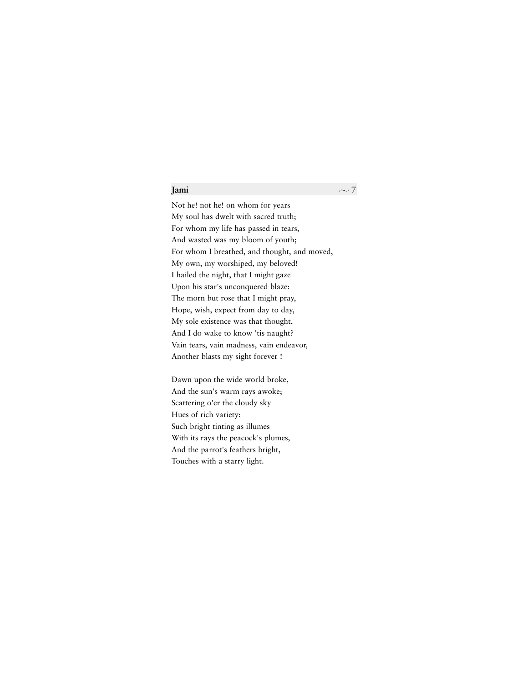### **Jami**  $\sim$  7

Not he! not he! on whom for years My soul has dwelt with sacred truth; For whom my life has passed in tears, And wasted was my bloom of youth; For whom I breathed, and thought, and moved, My own, my worshiped, my beloved! I hailed the night, that I might gaze Upon his star's unconquered blaze: The morn but rose that I might pray, Hope, wish, expect from day to day, My sole existence was that thought, And I do wake to know 'tis naught? Vain tears, vain madness, vain endeavor, Another blasts my sight forever !

Dawn upon the wide world broke, And the sun's warm rays awoke; Scattering o'er the cloudy sky Hues of rich variety: Such bright tinting as illumes With its rays the peacock's plumes, And the parrot's feathers bright, Touches with a starry light.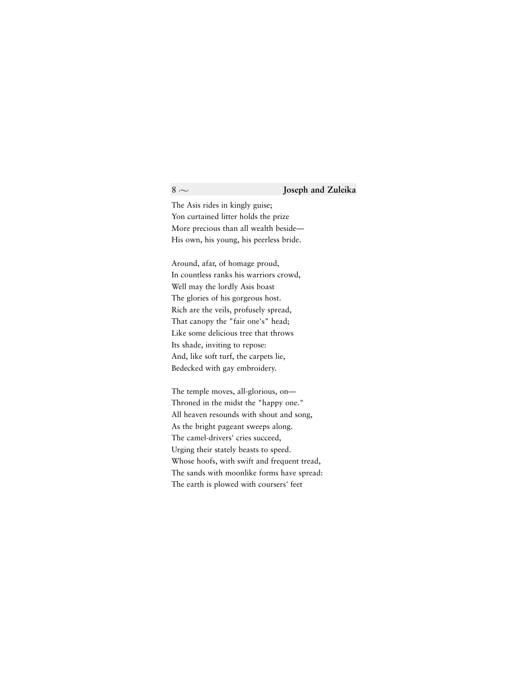### $8 \sim$  **Joseph and Zuleika**

The Asis rides in kingly guise; Yon curtained litter holds the prize More precious than all wealth beside— His own, his young, his peerless bride.

Around, afar, of homage proud, In countless ranks his warriors crowd, Well may the lordly Asis boast The glories of his gorgeous host. Rich are the veils, profusely spread, That canopy the "fair one's" head; Like some delicious tree that throws Its shade, inviting to repose: And, like soft turf, the carpets lie, Bedecked with gay embroidery.

The temple moves, all-glorious, on— Throned in the midst the "happy one." All heaven resounds with shout and song, As the bright pageant sweeps along. The camel-drivers' cries succeed, Urging their stately beasts to speed. Whose hoofs, with swift and frequent tread, The sands with moonlike forms have spread: The earth is plowed with coursers' feet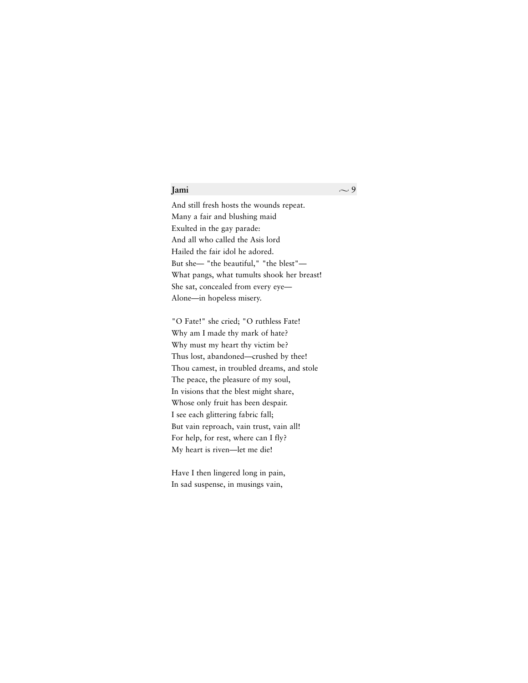### **Jami**  $\sim$  9

And still fresh hosts the wounds repeat. Many a fair and blushing maid Exulted in the gay parade: And all who called the Asis lord Hailed the fair idol he adored. But she— "the beautiful," "the blest"— What pangs, what tumults shook her breast! She sat, concealed from every eye— Alone—in hopeless misery.

"O Fate!" she cried; "O ruthless Fate! Why am I made thy mark of hate? Why must my heart thy victim be? Thus lost, abandoned—crushed by thee! Thou camest, in troubled dreams, and stole The peace, the pleasure of my soul, In visions that the blest might share, Whose only fruit has been despair. I see each glittering fabric fall; But vain reproach, vain trust, vain all! For help, for rest, where can I fly? My heart is riven—let me die!

Have I then lingered long in pain, In sad suspense, in musings vain,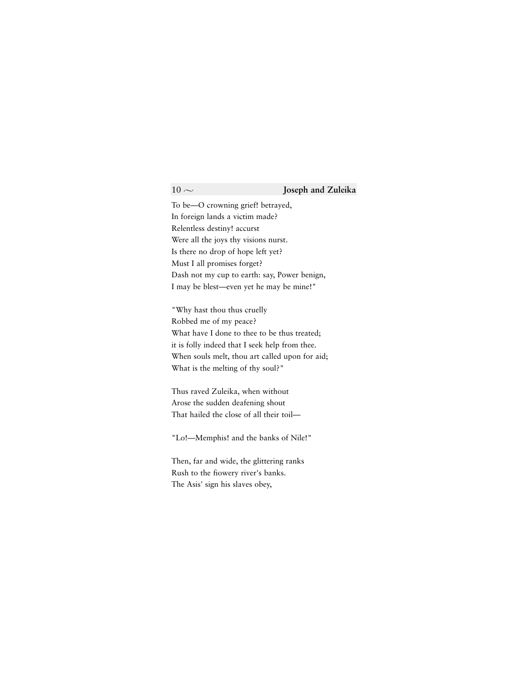To be—O crowning grief! betrayed, In foreign lands a victim made? Relentless destiny! accurst Were all the joys thy visions nurst. Is there no drop of hope left yet? Must I all promises forget? Dash not my cup to earth: say, Power benign, I may be blest—even yet he may be mine!"

"Why hast thou thus cruelly Robbed me of my peace? What have I done to thee to be thus treated: it is folly indeed that I seek help from thee. When souls melt, thou art called upon for aid; What is the melting of thy soul?"

Thus raved Zuleika, when without Arose the sudden deafening shout That hailed the close of all their toil—

"Lo!—Memphis! and the banks of Nile!"

Then, far and wide, the glittering ranks Rush to the fiowery river's banks. The Asis' sign his slaves obey,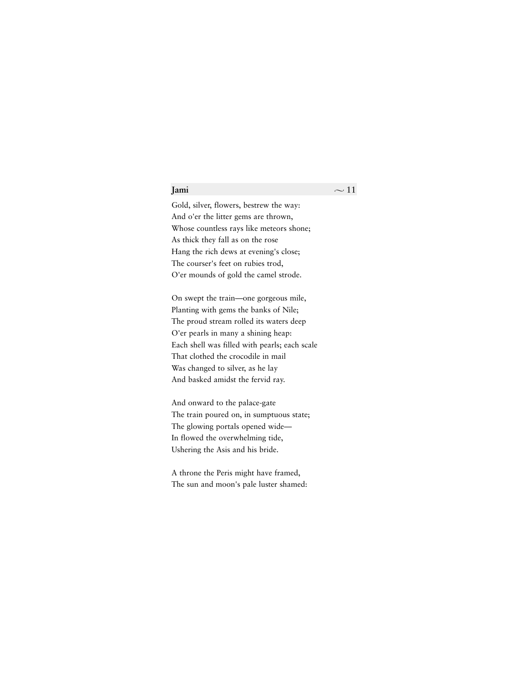Gold, silver, flowers, bestrew the way: And o'er the litter gems are thrown, Whose countless rays like meteors shone; As thick they fall as on the rose Hang the rich dews at evening's close; The courser's feet on rubies trod, O'er mounds of gold the camel strode.

On swept the train—one gorgeous mile, Planting with gems the banks of Nile; The proud stream rolled its waters deep O'er pearls in many a shining heap: Each shell was filled with pearls; each scale That clothed the crocodile in mail Was changed to silver, as he lay And basked amidst the fervid ray.

And onward to the palace-gate The train poured on, in sumptuous state; The glowing portals opened wide— In flowed the overwhelming tide, Ushering the Asis and his bride.

A throne the Peris might have framed, The sun and moon's pale luster shamed: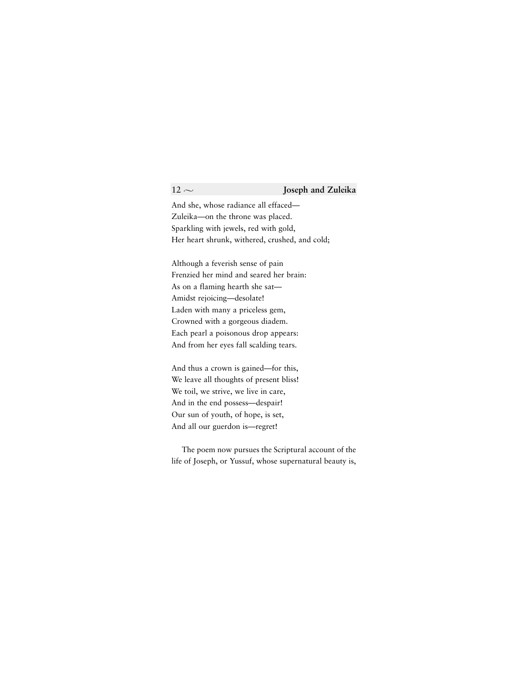And she, whose radiance all effaced— Zuleika—on the throne was placed. Sparkling with jewels, red with gold, Her heart shrunk, withered, crushed, and cold;

Although a feverish sense of pain Frenzied her mind and seared her brain: As on a flaming hearth she sat— Amidst rejoicing—desolate! Laden with many a priceless gem, Crowned with a gorgeous diadem. Each pearl a poisonous drop appears: And from her eyes fall scalding tears.

And thus a crown is gained—for this, We leave all thoughts of present bliss! We toil, we strive, we live in care, And in the end possess—despair! Our sun of youth, of hope, is set, And all our guerdon is—regret!

The poem now pursues the Scriptural account of the life of Joseph, or Yussuf, whose supernatural beauty is,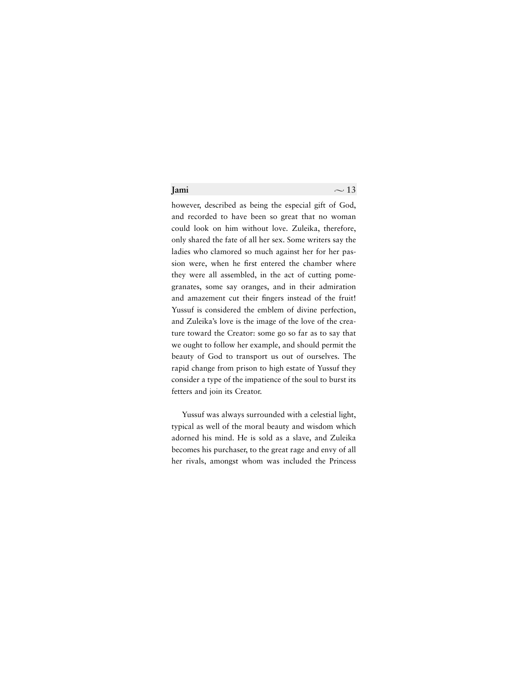however, described as being the especial gift of God, and recorded to have been so great that no woman could look on him without love. Zuleika, therefore, only shared the fate of all her sex. Some writers say the ladies who clamored so much against her for her passion were, when he first entered the chamber where they were all assembled, in the act of cutting pomegranates, some say oranges, and in their admiration and amazement cut their fingers instead of the fruit! Yussuf is considered the emblem of divine perfection, and Zuleika's love is the image of the love of the creature toward the Creator: some go so far as to say that we ought to follow her example, and should permit the beauty of God to transport us out of ourselves. The rapid change from prison to high estate of Yussuf they consider a type of the impatience of the soul to burst its fetters and join its Creator.

Yussuf was always surrounded with a celestial light, typical as well of the moral beauty and wisdom which adorned his mind. He is sold as a slave, and Zuleika becomes his purchaser, to the great rage and envy of all her rivals, amongst whom was included the Princess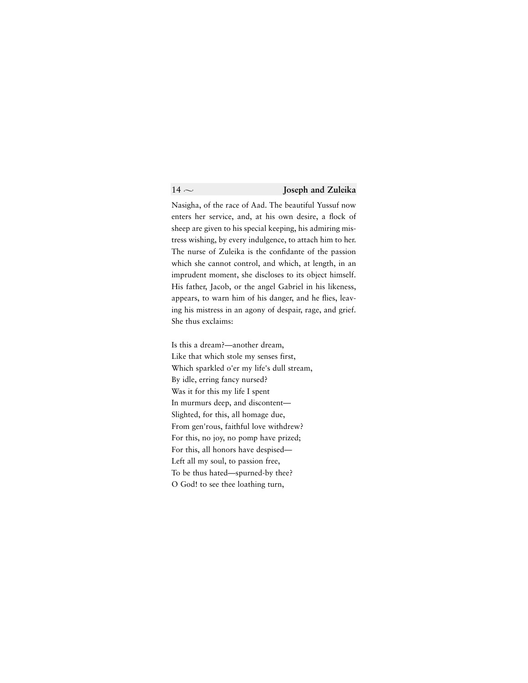Nasigha, of the race of Aad. The beautiful Yussuf now enters her service, and, at his own desire, a flock of sheep are given to his special keeping, his admiring mistress wishing, by every indulgence, to attach him to her. The nurse of Zuleika is the confidante of the passion which she cannot control, and which, at length, in an imprudent moment, she discloses to its object himself. His father, Jacob, or the angel Gabriel in his likeness, appears, to warn him of his danger, and he flies, leaving his mistress in an agony of despair, rage, and grief. She thus exclaims:

Is this a dream?—another dream, Like that which stole my senses first, Which sparkled o'er my life's dull stream, By idle, erring fancy nursed? Was it for this my life I spent In murmurs deep, and discontent— Slighted, for this, all homage due, From gen'rous, faithful love withdrew? For this, no joy, no pomp have prized; For this, all honors have despised— Left all my soul, to passion free, To be thus hated—spurned-by thee? O God! to see thee loathing turn,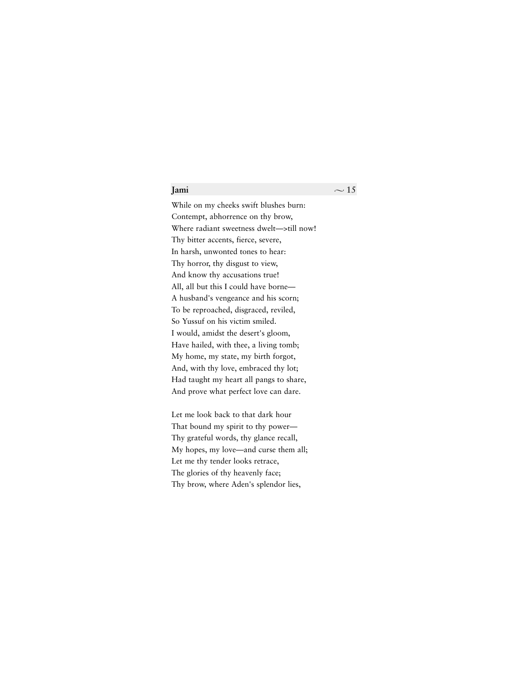While on my cheeks swift blushes burn: Contempt, abhorrence on thy brow, Where radiant sweetness dwelt—>till now! Thy bitter accents, fierce, severe, In harsh, unwonted tones to hear: Thy horror, thy disgust to view, And know thy accusations true! All, all but this I could have borne— A husband's vengeance and his scorn; To be reproached, disgraced, reviled, So Yussuf on his victim smiled. I would, amidst the desert's gloom, Have hailed, with thee, a living tomb; My home, my state, my birth forgot, And, with thy love, embraced thy lot; Had taught my heart all pangs to share, And prove what perfect love can dare.

Let me look back to that dark hour That bound my spirit to thy power— Thy grateful words, thy glance recall, My hopes, my love—and curse them all; Let me thy tender looks retrace, The glories of thy heavenly face; Thy brow, where Aden's splendor lies,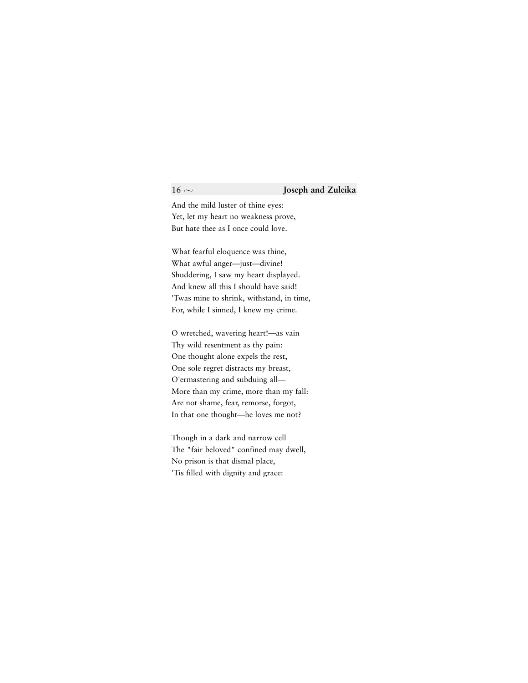### $16 \sim$  **Joseph and Zuleika**

And the mild luster of thine eyes: Yet, let my heart no weakness prove, But hate thee as I once could love.

What fearful eloquence was thine, What awful anger—just—divine! Shuddering, I saw my heart displayed. And knew all this I should have said! 'Twas mine to shrink, withstand, in time, For, while I sinned, I knew my crime.

O wretched, wavering heart!—as vain Thy wild resentment as thy pain: One thought alone expels the rest, One sole regret distracts my breast, O'ermastering and subduing all— More than my crime, more than my fall: Are not shame, fear, remorse, forgot, In that one thought—he loves me not?

Though in a dark and narrow cell The "fair beloved" confined may dwell, No prison is that dismal place, 'Tis filled with dignity and grace: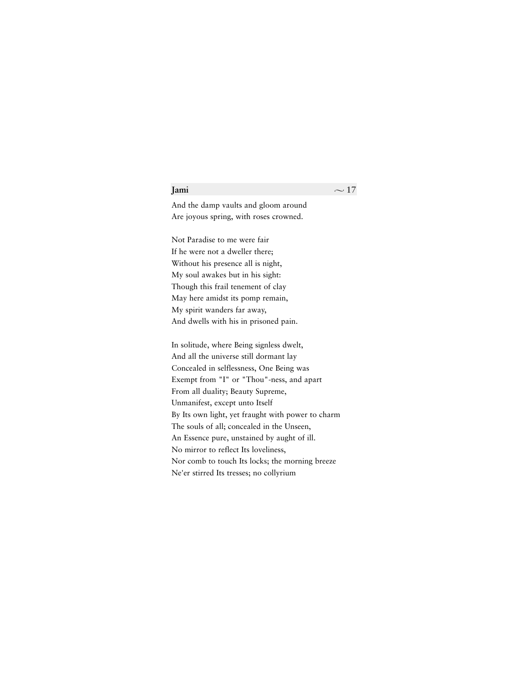And the damp vaults and gloom around Are joyous spring, with roses crowned.

Not Paradise to me were fair If he were not a dweller there; Without his presence all is night, My soul awakes but in his sight: Though this frail tenement of clay May here amidst its pomp remain, My spirit wanders far away, And dwells with his in prisoned pain.

In solitude, where Being signless dwelt, And all the universe still dormant lay Concealed in selflessness, One Being was Exempt from "I" or "Thou"-ness, and apart From all duality; Beauty Supreme, Unmanifest, except unto Itself By Its own light, yet fraught with power to charm The souls of all; concealed in the Unseen, An Essence pure, unstained by aught of ill. No mirror to reflect Its loveliness, Nor comb to touch Its locks; the morning breeze Ne'er stirred Its tresses; no collyrium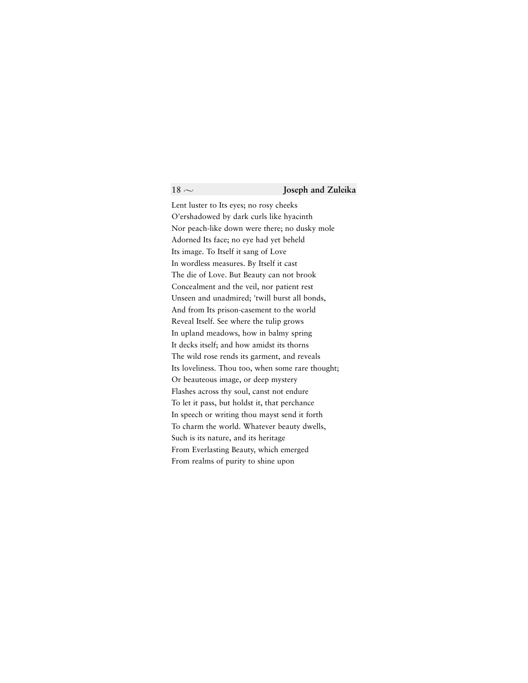Lent luster to Its eyes; no rosy cheeks O'ershadowed by dark curls like hyacinth Nor peach-like down were there; no dusky mole Adorned Its face; no eye had yet beheld Its image. To Itself it sang of Love In wordless measures. By Itself it cast The die of Love. But Beauty can not brook Concealment and the veil, nor patient rest Unseen and unadmired; 'twill burst all bonds, And from Its prison-casement to the world Reveal Itself. See where the tulip grows In upland meadows, how in balmy spring It decks itself; and how amidst its thorns The wild rose rends its garment, and reveals Its loveliness. Thou too, when some rare thought; Or beauteous image, or deep mystery Flashes across thy soul, canst not endure To let it pass, but holdst it, that perchance In speech or writing thou mayst send it forth To charm the world. Whatever beauty dwells, Such is its nature, and its heritage From Everlasting Beauty, which emerged From realms of purity to shine upon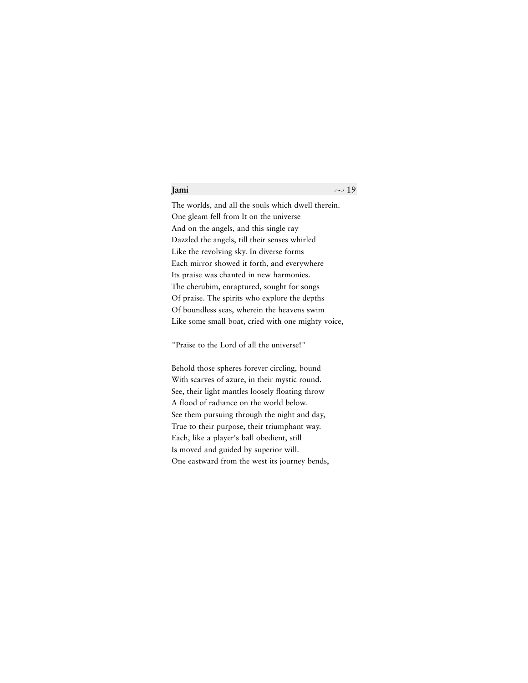The worlds, and all the souls which dwell therein. One gleam fell from It on the universe And on the angels, and this single ray Dazzled the angels, till their senses whirled Like the revolving sky. In diverse forms Each mirror showed it forth, and everywhere Its praise was chanted in new harmonies. The cherubim, enraptured, sought for songs Of praise. The spirits who explore the depths Of boundless seas, wherein the heavens swim Like some small boat, cried with one mighty voice,

"Praise to the Lord of all the universe!"

Behold those spheres forever circling, bound With scarves of azure, in their mystic round. See, their light mantles loosely floating throw A flood of radiance on the world below. See them pursuing through the night and day, True to their purpose, their triumphant way. Each, like a player's ball obedient, still Is moved and guided by superior will. One eastward from the west its journey bends,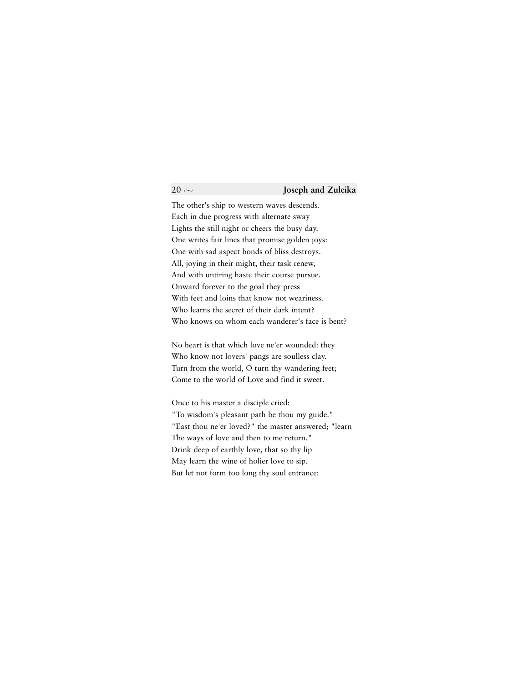### $20 \sim$  **Joseph and Zuleika**

The other's ship to western waves descends. Each in due progress with alternate sway Lights the still night or cheers the busy day. One writes fair lines that promise golden joys: One with sad aspect bonds of bliss destroys. All, joying in their might, their task renew, And with untiring haste their course pursue. Onward forever to the goal they press With feet and loins that know not weariness. Who learns the secret of their dark intent? Who knows on whom each wanderer's face is bent?

No heart is that which love ne'er wounded: they Who know not lovers' pangs are soulless clay. Turn from the world, O turn thy wandering feet; Come to the world of Love and find it sweet.

Once to his master a disciple cried: "To wisdom's pleasant path be thou my guide." "East thou ne'er loved?" the master answered; "learn The ways of love and then to me return." Drink deep of earthly love, that so thy lip May learn the wine of holier love to sip. But let not form too long thy soul entrance: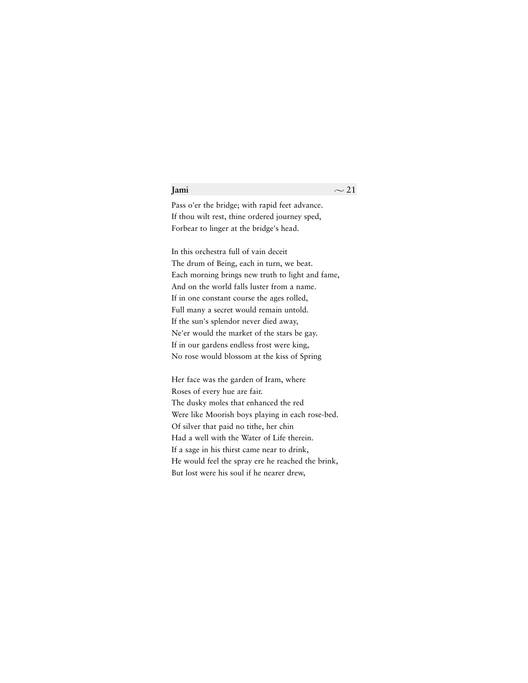Pass o'er the bridge; with rapid feet advance. If thou wilt rest, thine ordered journey sped, Forbear to linger at the bridge's head.

In this orchestra full of vain deceit The drum of Being, each in turn, we beat. Each morning brings new truth to light and fame, And on the world falls luster from a name. If in one constant course the ages rolled, Full many a secret would remain untold. If the sun's splendor never died away, Ne'er would the market of the stars be gay. If in our gardens endless frost were king, No rose would blossom at the kiss of Spring

Her face was the garden of Iram, where Roses of every hue are fair. The dusky moles that enhanced the red Were like Moorish boys playing in each rose-bed. Of silver that paid no tithe, her chin Had a well with the Water of Life therein. If a sage in his thirst came near to drink, He would feel the spray ere he reached the brink, But lost were his soul if he nearer drew,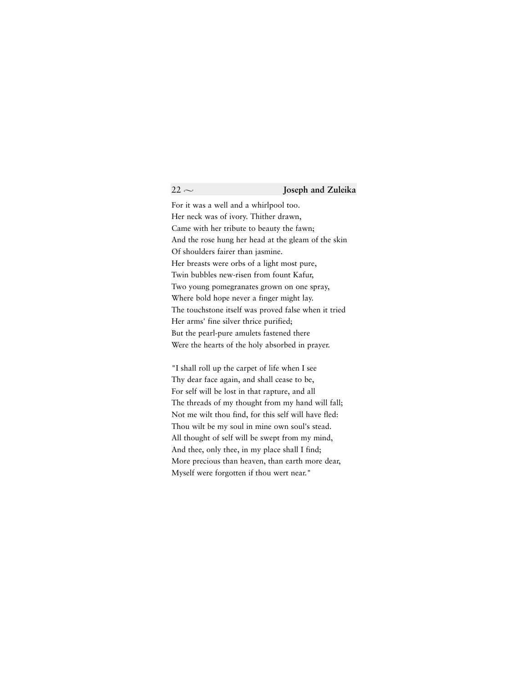For it was a well and a whirlpool too. Her neck was of ivory. Thither drawn, Came with her tribute to beauty the fawn; And the rose hung her head at the gleam of the skin Of shoulders fairer than jasmine. Her breasts were orbs of a light most pure, Twin bubbles new-risen from fount Kafur, Two young pomegranates grown on one spray, Where bold hope never a finger might lay. The touchstone itself was proved false when it tried Her arms' fine silver thrice purified; But the pearl-pure amulets fastened there Were the hearts of the holy absorbed in prayer.

"I shall roll up the carpet of life when I see Thy dear face again, and shall cease to be, For self will be lost in that rapture, and all The threads of my thought from my hand will fall; Not me wilt thou find, for this self will have fled: Thou wilt be my soul in mine own soul's stead. All thought of self will be swept from my mind, And thee, only thee, in my place shall I find; More precious than heaven, than earth more dear, Myself were forgotten if thou wert near."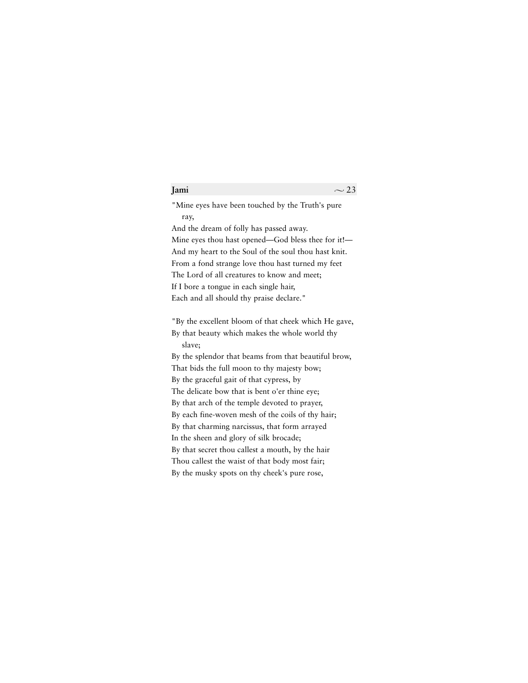"Mine eyes have been touched by the Truth's pure ray,

And the dream of folly has passed away. Mine eyes thou hast opened—God bless thee for it!— And my heart to the Soul of the soul thou hast knit. From a fond strange love thou hast turned my feet The Lord of all creatures to know and meet; If I bore a tongue in each single hair, Each and all should thy praise declare."

"By the excellent bloom of that cheek which He gave, By that beauty which makes the whole world thy slave;

By the splendor that beams from that beautiful brow, That bids the full moon to thy majesty bow; By the graceful gait of that cypress, by The delicate bow that is bent o'er thine eye; By that arch of the temple devoted to prayer, By each fine-woven mesh of the coils of thy hair; By that charming narcissus, that form arrayed In the sheen and glory of silk brocade; By that secret thou callest a mouth, by the hair Thou callest the waist of that body most fair; By the musky spots on thy cheek's pure rose,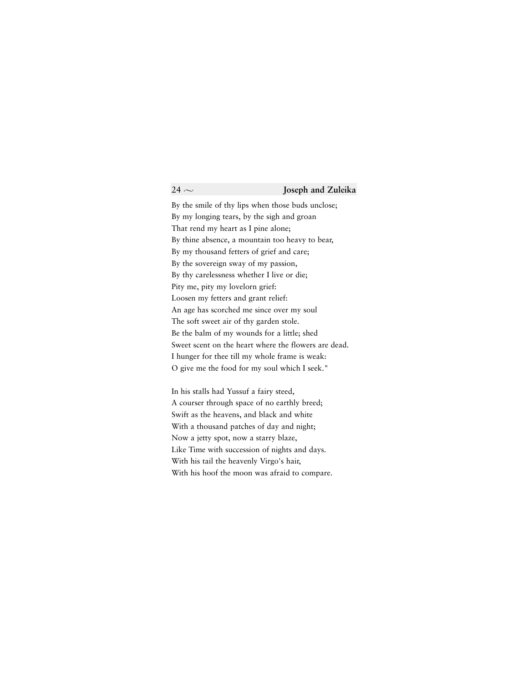By the smile of thy lips when those buds unclose; By my longing tears, by the sigh and groan That rend my heart as I pine alone; By thine absence, a mountain too heavy to bear, By my thousand fetters of grief and care; By the sovereign sway of my passion, By thy carelessness whether I live or die; Pity me, pity my lovelorn grief: Loosen my fetters and grant relief: An age has scorched me since over my soul The soft sweet air of thy garden stole. Be the balm of my wounds for a little; shed Sweet scent on the heart where the flowers are dead. I hunger for thee till my whole frame is weak: O give me the food for my soul which I seek."

In his stalls had Yussuf a fairy steed, A courser through space of no earthly breed; Swift as the heavens, and black and white With a thousand patches of day and night; Now a jetty spot, now a starry blaze, Like Time with succession of nights and days. With his tail the heavenly Virgo's hair, With his hoof the moon was afraid to compare.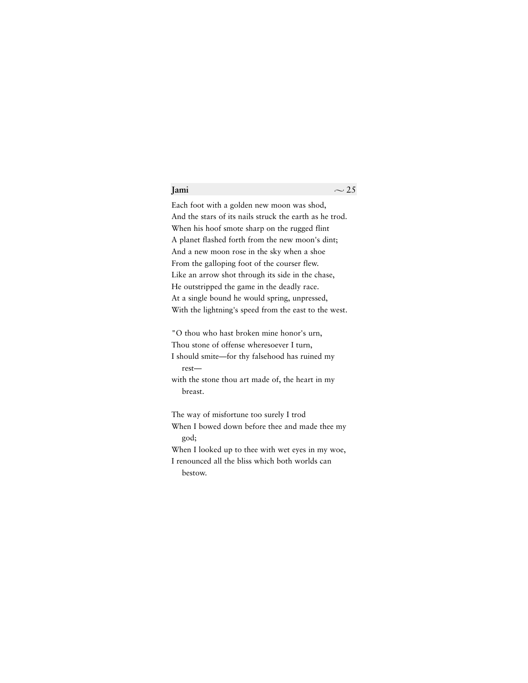Each foot with a golden new moon was shod, And the stars of its nails struck the earth as he trod. When his hoof smote sharp on the rugged flint A planet flashed forth from the new moon's dint; And a new moon rose in the sky when a shoe From the galloping foot of the courser flew. Like an arrow shot through its side in the chase, He outstripped the game in the deadly race. At a single bound he would spring, unpressed, With the lightning's speed from the east to the west.

"O thou who hast broken mine honor's urn, Thou stone of offense wheresoever I turn,

I should smite—for thy falsehood has ruined my rest—

with the stone thou art made of, the heart in my breast.

The way of misfortune too surely I trod

When I bowed down before thee and made thee my god;

When I looked up to thee with wet eyes in my woe,

I renounced all the bliss which both worlds can bestow.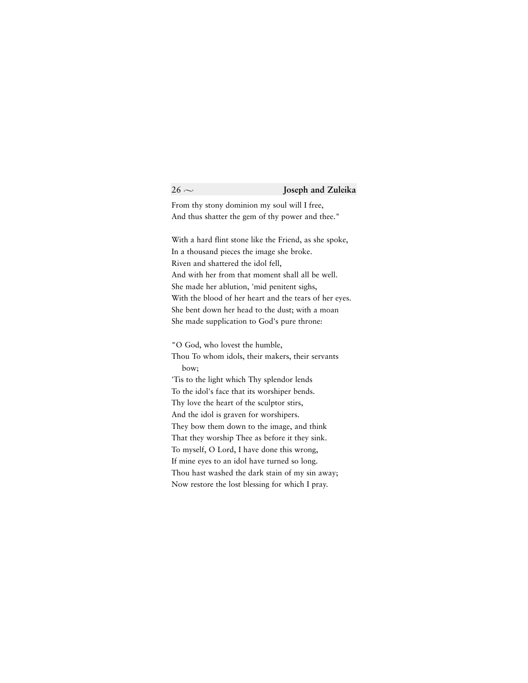From thy stony dominion my soul will I free, And thus shatter the gem of thy power and thee."

With a hard flint stone like the Friend, as she spoke, In a thousand pieces the image she broke. Riven and shattered the idol fell, And with her from that moment shall all be well. She made her ablution, 'mid penitent sighs, With the blood of her heart and the tears of her eyes. She bent down her head to the dust; with a moan She made supplication to God's pure throne:

"O God, who lovest the humble,

Thou To whom idols, their makers, their servants bow;

'Tis to the light which Thy splendor lends To the idol's face that its worshiper bends. Thy love the heart of the sculptor stirs, And the idol is graven for worshipers. They bow them down to the image, and think That they worship Thee as before it they sink. To myself, O Lord, I have done this wrong, If mine eyes to an idol have turned so long. Thou hast washed the dark stain of my sin away; Now restore the lost blessing for which I pray.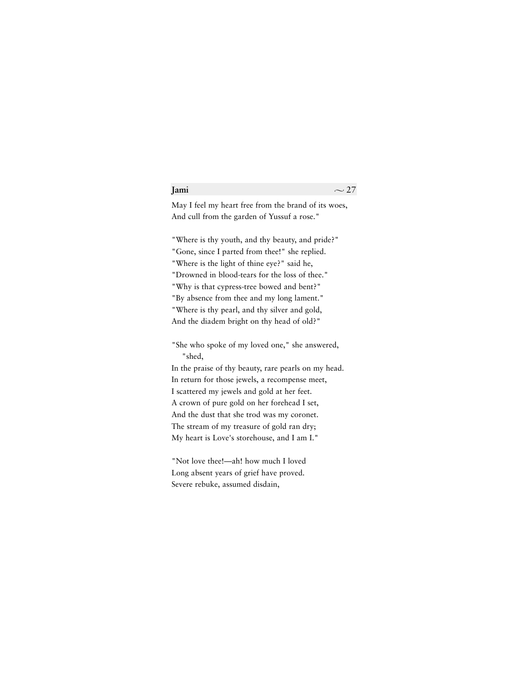May I feel my heart free from the brand of its woes, And cull from the garden of Yussuf a rose."

"Where is thy youth, and thy beauty, and pride?" "Gone, since I parted from thee!" she replied. "Where is the light of thine eye?" said he, "Drowned in blood-tears for the loss of thee." "Why is that cypress-tree bowed and bent?" "By absence from thee and my long lament." "Where is thy pearl, and thy silver and gold, And the diadem bright on thy head of old?"

"She who spoke of my loved one," she answered,

"shed,

In the praise of thy beauty, rare pearls on my head. In return for those jewels, a recompense meet, I scattered my jewels and gold at her feet. A crown of pure gold on her forehead I set, And the dust that she trod was my coronet. The stream of my treasure of gold ran dry; My heart is Love's storehouse, and I am I."

"Not love thee!—ah! how much I loved Long absent years of grief have proved. Severe rebuke, assumed disdain,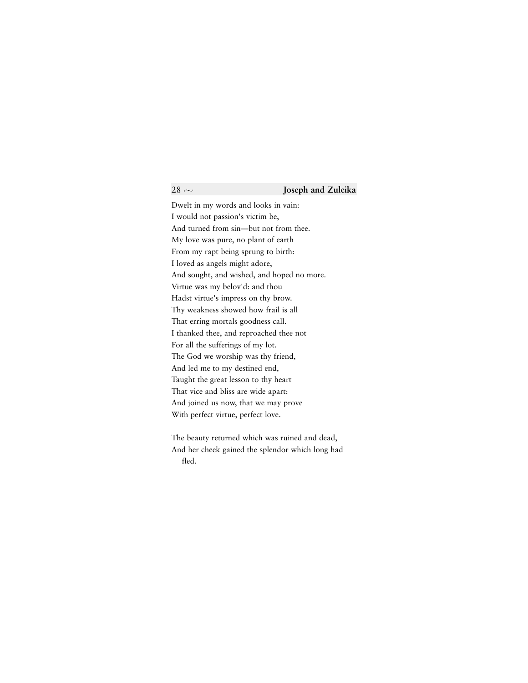### $28 \sim$  **Joseph and Zuleika**

Dwelt in my words and looks in vain: I would not passion's victim be, And turned from sin—but not from thee. My love was pure, no plant of earth From my rapt being sprung to birth: I loved as angels might adore, And sought, and wished, and hoped no more. Virtue was my belov'd: and thou Hadst virtue's impress on thy brow. Thy weakness showed how frail is all That erring mortals goodness call. I thanked thee, and reproached thee not For all the sufferings of my lot. The God we worship was thy friend, And led me to my destined end, Taught the great lesson to thy heart That vice and bliss are wide apart: And joined us now, that we may prove With perfect virtue, perfect love.

The beauty returned which was ruined and dead, And her cheek gained the splendor which long had fled.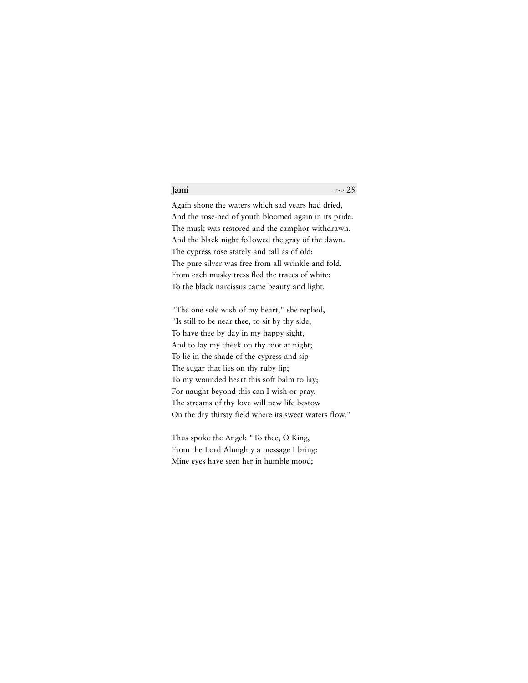Again shone the waters which sad years had dried, And the rose-bed of youth bloomed again in its pride. The musk was restored and the camphor withdrawn, And the black night followed the gray of the dawn. The cypress rose stately and tall as of old: The pure silver was free from all wrinkle and fold. From each musky tress fled the traces of white: To the black narcissus came beauty and light.

"The one sole wish of my heart," she replied, "Is still to be near thee, to sit by thy side; To have thee by day in my happy sight, And to lay my cheek on thy foot at night; To lie in the shade of the cypress and sip The sugar that lies on thy ruby lip; To my wounded heart this soft balm to lay; For naught beyond this can I wish or pray. The streams of thy love will new life bestow On the dry thirsty field where its sweet waters flow."

Thus spoke the Angel: "To thee, O King, From the Lord Almighty a message I bring: Mine eyes have seen her in humble mood;